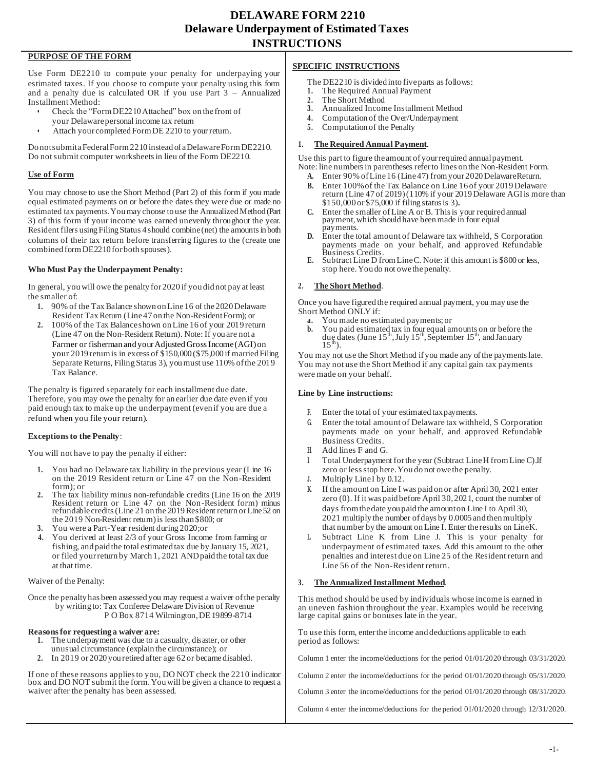### **PURPOSE OF THE FORM**

Use Form DE2210 to compute your penalty for underpaying your estimated taxes. If you choose to compute your penalty using this form and a penalty due is calculated OR if you use Part  $3$  – Annualized Installment Method:

- Check the "Form DE2210 Attached" box on the front of your Delaware personal income tax return
- Attach your completed Form DE 2210 to your return.

Do notsubmitaFederalForm2210 instead of aDelawareFormDE2210. Do notsubmit computer worksheetsin lieu of the Form DE2210.

#### **Use of Form**

You may choose to use the Short Method (Part 2) of this form if you made equal estimated payments on or before the dates they were due or made no estimated tax payments. You may choose to use the Annualized Method (Part 3) of this form if your income was earned unevenly throughout the year. Resident filers using Filing Status 4 should combine (net) the amounts in both columns of their tax return before transferring figures to the (create one combined form DE2210 for both spouses).

#### **Who Must Pay the Underpayment Penalty:**

In general, you will owe the penalty for 2020 if you did not pay at least the smaller of:

- **1.** 90% of the TaxBalance shown onLine16 of the2020Delaware Resident TaxReturn (Line47 on the Non-ResidentForm); or
- **2.** 100% of the Tax Balance shown on Line 16 of your 2019 return (Line 47 on the Non-Resident Return). Note: If you are not a Farmer or fisherman and your Adjusted Gross Income (AGI) on your 2019 return is in excess of \$150,000 (\$75,000 if married Filing Separate Returns, Filing Status 3), you must use 110% of the 2019 Tax Balance.

The penalty is figured separately for each installment due date. Therefore, you may owe the penalty for an earlier due date even if you paid enough tax to make up the underpayment (even if you are due a refund when you file your return).

#### **Exceptions to the Penalty**:

You will not have to pay the penalty if either:

- **1.** You had no Delaware tax liability in the previous year (Line 16 on the 2019 Resident return or Line 47 on the Non-Resident form); or
- **2.** The tax liability minus non-refundable credits (Line 16 on the 2019 Resident return or Line 47 on the Non-Resident form) minus refundable credits (Line 21 on the 2019 Resident return or Line 52 on the 2019 Non-Resident return) is less than \$800; or
- **3.** You were a Part-Year resident during 2020;or
- **4.** You derived at least 2/3 of your Gross Income from farming or fishing, and paid the total estimated tax due by January 15, 2021, or filed your return by March 1, 2021 AND paid the total tax due at that time.

Waiver of the Penalty:

Once the penalty has been assessed you may request a waiver of the penalty by writing to: Tax Conferee Delaware Division of Revenue P O Box 8714 Wilmington, DE19899-8714

#### **Reasons for requesting a waiver are:**

- **1.** The underpayment was due to a casualty, disaster, or other unusual circumstance (explain the circumstance); or
- **2.** In 2019 or 2020 you retired after age 62 or becamedisabled.

If one of these reasons appliesto you, DO NOT check the 2210 indicator box and DO NOT submit the form.Youwill be given a chance to request a waiver after the penalty has been assessed.

#### **SPECIFIC INSTRUCTIONS**

The DE2210 is divided into five parts as follows:<br>1. The Required Annual Payment

- **1.** The Required Annual Payment
- **2.** The Short Method
- **3.** Annualized Income Installment Method
- **4.** Computation of the Over/Underpayment **5.** Computation of the Penalty
- **5.** Computation of the Penalty
- **1. The Required Annual Payment**.

Use this part to figure the amount of your required annual payment. Note: line numbers in parentheses refer to lines on the Non-Resident Form.

**A.** Enter 90% ofLine16 (Line47) fromyour 2020DelawareReturn.

- **B.** Enter 100% of the Tax Balance on Line 16 of your 2019Delaware return (Line 47 of 2019) (110% if your 2019 Delaware AGI is more than \$150,000 or \$75,000 if filing status is 3).
- **C.** Enter the smaller of Line A or B. This is your required annual payment,which should have beenmade in four equal payments.
- **D.** Enter the total amount of Delaware tax withheld, S Corporation payments made on your behalf, and approved Refundable Business Credits.
- **E.** Subtract Line D from Line C. Note: if this amount is \$800 or less, stop here. You do not owe the penalty.

#### **2. The Short Method**.

Once you have figured the required annual payment, you may use the Short Method ONLY if:

- **a.** You made no estimated payments; or<br>**b.** You paid estimated tax in four equal and
- **b.** You paid estimated tax in four equal amounts on or before the due dates (June  $15<sup>th</sup>$ , July  $15<sup>th</sup>$ , September  $15<sup>th</sup>$ , and January  $15^{\text{m}}$ ).

You may not use the Short Method if you made any of the payments late. You may not use the Short Method if any capital gain tax payments were made on your behalf.

#### **Line by Line instructions:**

- **F.** Enter the total of your estimated taxpayments.
- **G.** Enter the total amount of Delaware tax withheld, S Corporation payments made on your behalf, and approved Refundable Business Credits.
- **H.** Add lines F and G.
- **I.** Total Underpayment for the year (Subtract Line H from Line C).If zero or less stop here. You do not owe the penalty.
- **J.** Multiply Line I by 0.12.
- **K.** If the amount on Line I was paid on or after April 30, 2021 enter zero (0). If it was paid before April 30, 2021, count the number of days from the date you paid the amount on Line I to April 30, 2021 multiply the number of days by 0.0005 and then multiply that number by the amount onLine I. Enter theresults on LineK.
- Subtract Line K from Line J. This is your penalty for underpayment of estimated taxes. Add this amount to the other penalties and interest due on Line 25 of the Resident return and Line 56 of the Non-Resident return.

#### **3. The Annualized Installment Method**.

This method should be used by individuals whose income is earned in an uneven fashion throughout the year. Examples would be receiving large capital gains or bonuses late in the year.

To use this form, enter the income and deductions applicable to each period as follows:

Column 1 enter the income/deductions for the period 01/01/2020 through 03/31/2020.

Column 2 enter the income/deductions for the period 01/01/2020 through 05/31/2020.

Column 3 enter the income/deductions for the period 01/01/2020 through 08/31/2020.

Column 4 enter the income/deductions for the period 01/01/2020 through 12/31/2020.